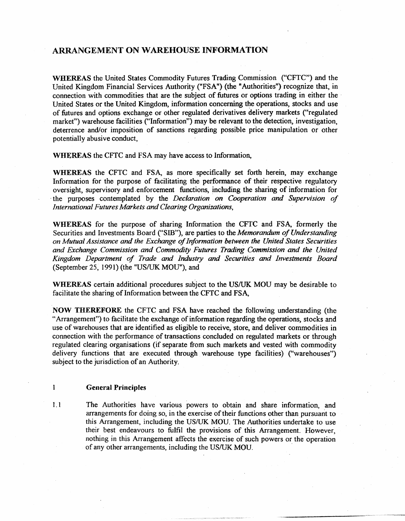# ARRANGEMENT ON WAREHOUSE INFORMATION

WHEREAS the United States Commodity Futures Trading Commission ("CFTC"') and the United Kingdom Financial Services Authority ("FSA") (the "Authorities") recognize that, in connection with commodities that are the subject of futures or options trading in either the United States or the United Kingdom, information concerning the operations, stocks and use of futures and options exchange or other regulated derivatives delivery markets ("regulated market") warehouse facilities ("Information") may be relevant to the detection, investigation, deterrence and/or imposition of sanctions regarding possible price manipulation or other potentially abusive conduct,

WHEREAS the CFTC and FSA may have access to Information,

WHEREAS the CFTC and FSA, as more specifically set forth herein, may exchange Information for the purpose of facilitating the performance of their respective regulatory oversight, supervisory and .enforcement functions, including the sharing of information for · the purposes contemplated by the *Declaration on Cooperation and Supervision of International Futures Markets and Clearing Organizations,* 

WHEREAS for the purpose of sharing Information the CFTC and FSA, formerly the Securities and Investments Board ("SID"), are parties to the *Memorandum of Understanding on Mutual Assistance and the Exchange of Information between the United States Securities and Exchange Commission and Commodity Futures Trading Commission and the United Kingdom Department of Trade and Industry* and *Securities and Investments Board*  (September 25, 1991) (the "US/UK MOU"), and

WHEREAS certain additional procedures subject to the US/UK MOU may be desirable to facilitate the sharing of Information between the CFTC and FSA,

NOW THEREFORE the CFTC and FSA have reached the fo1lowing understanding (the "Arrangement") to facilitate the exchange of information regarding the operations, stocks and use of warehouses that are identified as eligible to receive, store, and deliver commodities in connection with the performance of transactions concluded on regulated markets or through regulated clearing organisations (if separate from such markets and vested with commodity delivery functions that are executed through warehouse type facilities) ("warehouses'') subject to the jurisdiction of an Authority.

#### 1 General Principles

1. 1 The Authorities have various powers to obtain and share information, and arrangements for doing so, in the exercise of their functions other than pursuant to this Arrangement, including the US/UK MOU. The Authorities undertake to use their best endeavours to fulfil the provisions of this Arrangement. However, nothing in this Arrangement affects the exercise of such powers or the operation of any other arrangements, including the US/UK MOU.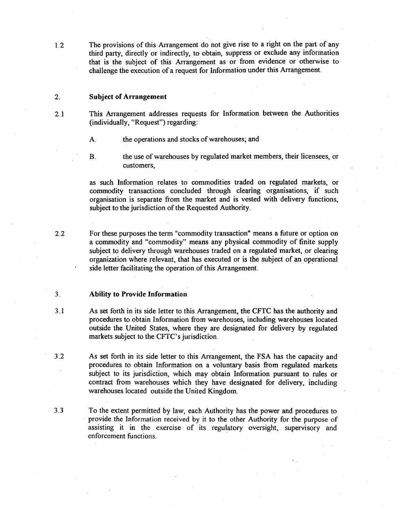1.2 The provisions of this Arrangement do not give rise to a right on the part of any third party, directly or indirectly, to obtain, suppress or exclude any information that is the subject of this Arrangement as or from evidence or otherwise to challenge the execution of a request for Information under this Arrangement.

## 2. Subject of Arrangement

- 2.1 This Arrangement addresses requests for Information between the Authorities (individually, ''Request") regarding:
	- A. the operations and stocks of warehouses; and
	- B. the use of warehouses by regulated market members, their licensees, or customers,

as such Information relates to commodities traded on regulated markets, or commodity transactions concluded through clearing organisations, if such organisation is separate from the market and is vested with delivery functions, subject to the jurisdiction of the Requested Authority.

2.2 For these purposes the term "commodity transaction" means a future or option on a commodity and "commodity'' means any physical commodity of finite. supply subject to delivery through warehouses traded on a regulated market, or clearing organization where relevant, that has executed or is the subject of an operational side letter facilitating the operation of this Arrangement.

## 3. Ability to Provide Information

- 3 .I As set forth in its side letter to this Arrangement, the CFTC has the authority and procedures to obtain Information from warehouses, including warehouses located outside the United States, where they are designated for delivery by regulated markets subject to the CFTC's jurisdiction.
- 3.2 As set forth in its side letter to this Arrangement, the FSA has the capacity and procedures to obtain Information on a voluntary basis from regulated markets subject to its jurisdiction, which may obtain Information pursuant to rules or contract from warehouses which they have designated for delivery, including warehouses located outside the United Kingdom.
- 3.3 To the extent permitted by law, each Authority has the power and procedures to provide the Information received by it to the other Authority for the purpose of assisting it in the exercise of its regulatory oversight, supervisory and enforcement functions.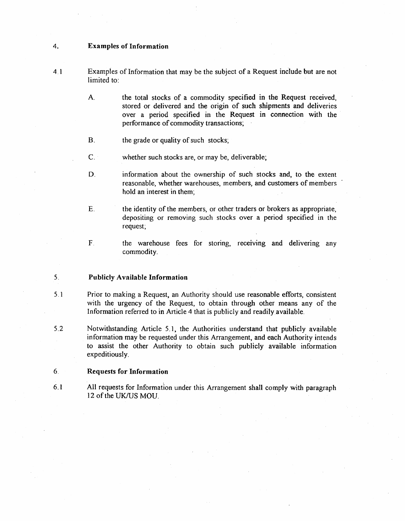## 4. Examples of Information

- 4. 1 Examples of Information that may be the subject of a Request inClude but are not limited to:
	- A. the total stocks of a commodity specified in the Request received, stored or delivered and the origin of such shipments and deliveries over a period specified in the Request in connection with the performance of commodity transactions;
	- B. the grade or quality of such stocks;
	- $C.$  whether such stocks are, or may be, deliverable;
	- D. information about the ownership of such stocks and, to the extent reasonable, whether warehouses, members, and customers of members hold an interest in them;
	- E. the identity of the members, or other traders or brokers as appropriate, depositing or removing such stocks over a period specified in the request;
	-
- F. the warehouse fees for storing, receiving and delivering any commodity.

#### 5. Publicly Available Information

- 5. 1 Prior to making a Request, an Authority should use reasonable efforts, consistent with the urgency of the Request, to obtain through other means any of the Information referred to in Article 4 that is publicly and readily available.
- 5.2 Notwithstanding Article 5.1, the Authorities understand that publicly available information may be requested under this Arrangement, and each Authority intends to assist the other Authority to obtain such publicly available information expeditiously.

## 6. Requests for Information

6.1 All requests for Information under this Arrangement shalt comply with paragraph 12 of the UK/US MOU.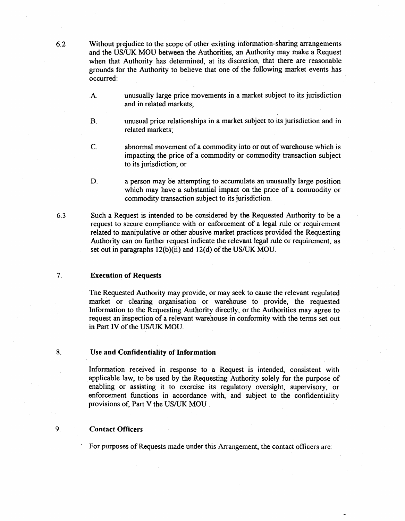6.2 Without prejudice to the scope of other existing information-sharing arrangements and the US/UK MOU between the Authorities, an Authority may make a Request when that Authority has determined, at its discretion, that there are reasonable grounds for the Authority to believe that one of the following market events has occurred:

- A. unusually large price movements in a market subject to its jurisdiction and in related markets;
- B. unusual price relationships in a market subject to its jurisdiction and in related markets;
- C. abnormal movement of a commodity into or out of warehouse which is impacting the price of a commodity or commodity transaction subject to its jurisdiction; or
- D. a person may be attempting to accumulate an unusually large position which may have a substantial impact on the price of a commodity or commodity transaction subject to its jurisdiction.
- 6.3 Such a Request is intended to be considered by the Requested Authority to be a request to secure compliance with or enforcement of a legal rule or requirement related to manipulative or other abusive market practices provided the Requesting Authority can on further request indicate the relevant legal rule or requirement, as set out in paragraphs 12(b)(ii) and 12(d) of the US/UK MOU.

## 7. Execution of Requests

The Requested Authority may provide, or may seek to cause the relevant regulated market or clearing organisation or warehouse to provide, the requested Information to the Requesting Authority directly. or the Authorities may agree to request an inspection of a relevant warehouse in conformity with the terms set out in Part IV of the US/UK MOU.

# 8. Use and Confidentiality of Information

Information received in response to a Request is intended, consistent with applicable law, to be used by the Requesting Authority solely for the purpose of enabling or assisting it to exercise its regulatory oversight, supervisory, or enforcement functions in accordance with, and subject to the confidentiality provisions of, Part V the US/UK MOU.

# 9. Contact Officers

For purposes of Requests made under this Arrangement, the contact officers are: